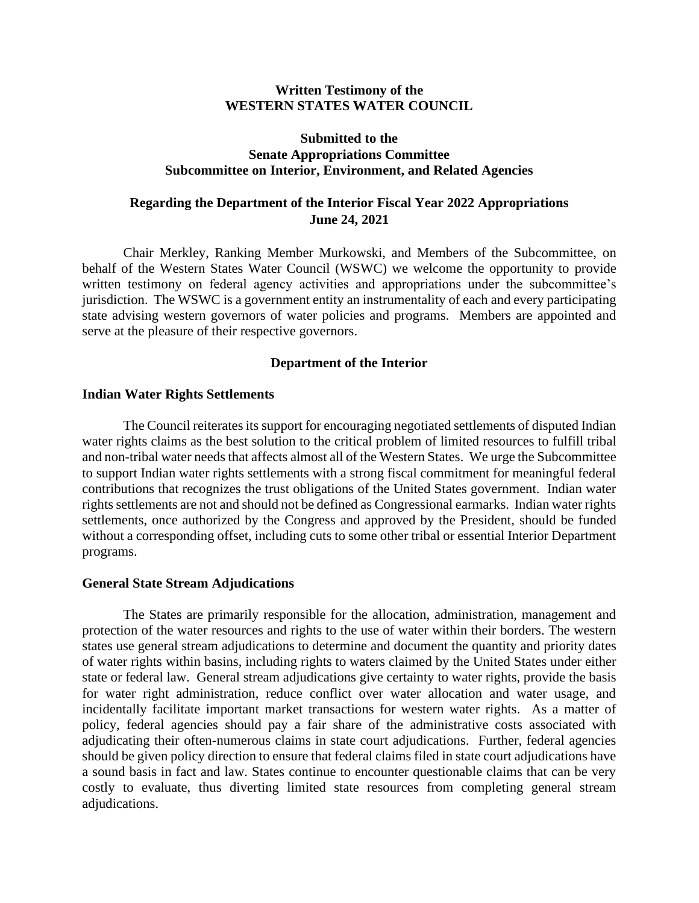### **Written Testimony of the WESTERN STATES WATER COUNCIL**

### **Submitted to the Senate Appropriations Committee Subcommittee on Interior, Environment, and Related Agencies**

# **Regarding the Department of the Interior Fiscal Year 2022 Appropriations June 24, 2021**

Chair Merkley, Ranking Member Murkowski, and Members of the Subcommittee, on behalf of the Western States Water Council (WSWC) we welcome the opportunity to provide written testimony on federal agency activities and appropriations under the subcommittee's jurisdiction. The WSWC is a government entity an instrumentality of each and every participating state advising western governors of water policies and programs. Members are appointed and serve at the pleasure of their respective governors.

## **Department of the Interior**

### **Indian Water Rights Settlements**

The Council reiterates its support for encouraging negotiated settlements of disputed Indian water rights claims as the best solution to the critical problem of limited resources to fulfill tribal and non-tribal water needs that affects almost all of the Western States. We urge the Subcommittee to support Indian water rights settlements with a strong fiscal commitment for meaningful federal contributions that recognizes the trust obligations of the United States government. Indian water rights settlements are not and should not be defined as Congressional earmarks. Indian water rights settlements, once authorized by the Congress and approved by the President, should be funded without a corresponding offset, including cuts to some other tribal or essential Interior Department programs.

### **General State Stream Adjudications**

The States are primarily responsible for the allocation, administration, management and protection of the water resources and rights to the use of water within their borders. The western states use general stream adjudications to determine and document the quantity and priority dates of water rights within basins, including rights to waters claimed by the United States under either state or federal law. General stream adjudications give certainty to water rights, provide the basis for water right administration, reduce conflict over water allocation and water usage, and incidentally facilitate important market transactions for western water rights. As a matter of policy, federal agencies should pay a fair share of the administrative costs associated with adjudicating their often-numerous claims in state court adjudications. Further, federal agencies should be given policy direction to ensure that federal claims filed in state court adjudications have a sound basis in fact and law. States continue to encounter questionable claims that can be very costly to evaluate, thus diverting limited state resources from completing general stream adjudications.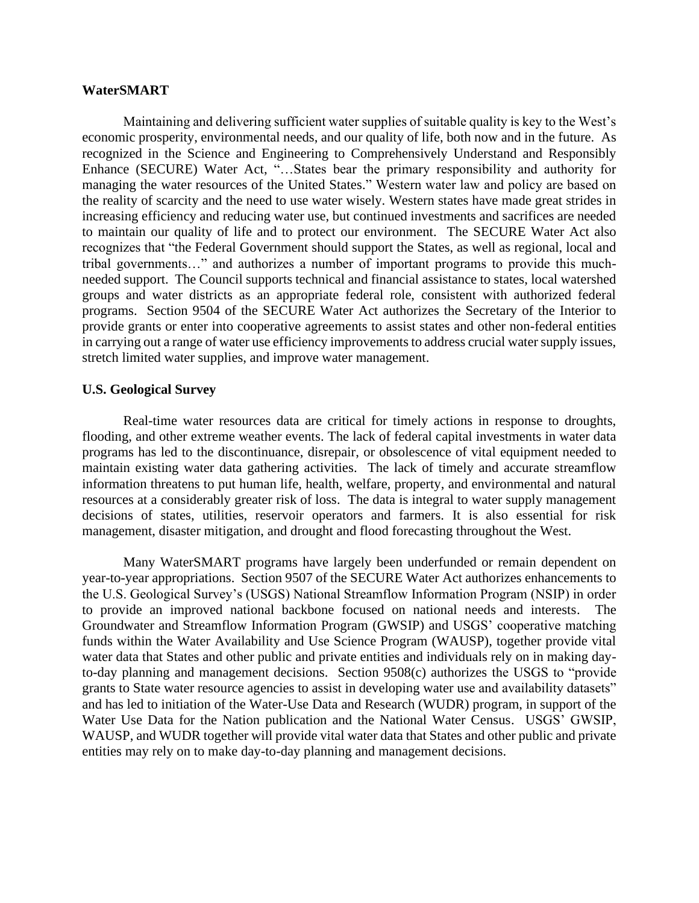#### **WaterSMART**

Maintaining and delivering sufficient water supplies of suitable quality is key to the West's economic prosperity, environmental needs, and our quality of life, both now and in the future. As recognized in the Science and Engineering to Comprehensively Understand and Responsibly Enhance (SECURE) Water Act, "…States bear the primary responsibility and authority for managing the water resources of the United States." Western water law and policy are based on the reality of scarcity and the need to use water wisely. Western states have made great strides in increasing efficiency and reducing water use, but continued investments and sacrifices are needed to maintain our quality of life and to protect our environment. The SECURE Water Act also recognizes that "the Federal Government should support the States, as well as regional, local and tribal governments…" and authorizes a number of important programs to provide this muchneeded support. The Council supports technical and financial assistance to states, local watershed groups and water districts as an appropriate federal role, consistent with authorized federal programs. Section 9504 of the SECURE Water Act authorizes the Secretary of the Interior to provide grants or enter into cooperative agreements to assist states and other non-federal entities in carrying out a range of water use efficiency improvements to address crucial water supply issues, stretch limited water supplies, and improve water management.

#### **U.S. Geological Survey**

Real-time water resources data are critical for timely actions in response to droughts, flooding, and other extreme weather events. The lack of federal capital investments in water data programs has led to the discontinuance, disrepair, or obsolescence of vital equipment needed to maintain existing water data gathering activities. The lack of timely and accurate streamflow information threatens to put human life, health, welfare, property, and environmental and natural resources at a considerably greater risk of loss. The data is integral to water supply management decisions of states, utilities, reservoir operators and farmers. It is also essential for risk management, disaster mitigation, and drought and flood forecasting throughout the West.

Many WaterSMART programs have largely been underfunded or remain dependent on year-to-year appropriations. Section 9507 of the SECURE Water Act authorizes enhancements to the U.S. Geological Survey's (USGS) National Streamflow Information Program (NSIP) in order to provide an improved national backbone focused on national needs and interests. The Groundwater and Streamflow Information Program (GWSIP) and USGS' cooperative matching funds within the Water Availability and Use Science Program (WAUSP), together provide vital water data that States and other public and private entities and individuals rely on in making dayto-day planning and management decisions. Section 9508(c) authorizes the USGS to "provide grants to State water resource agencies to assist in developing water use and availability datasets" and has led to initiation of the Water-Use Data and Research (WUDR) program, in support of the Water Use Data for the Nation publication and the National Water Census. USGS' GWSIP, WAUSP, and WUDR together will provide vital water data that States and other public and private entities may rely on to make day-to-day planning and management decisions.